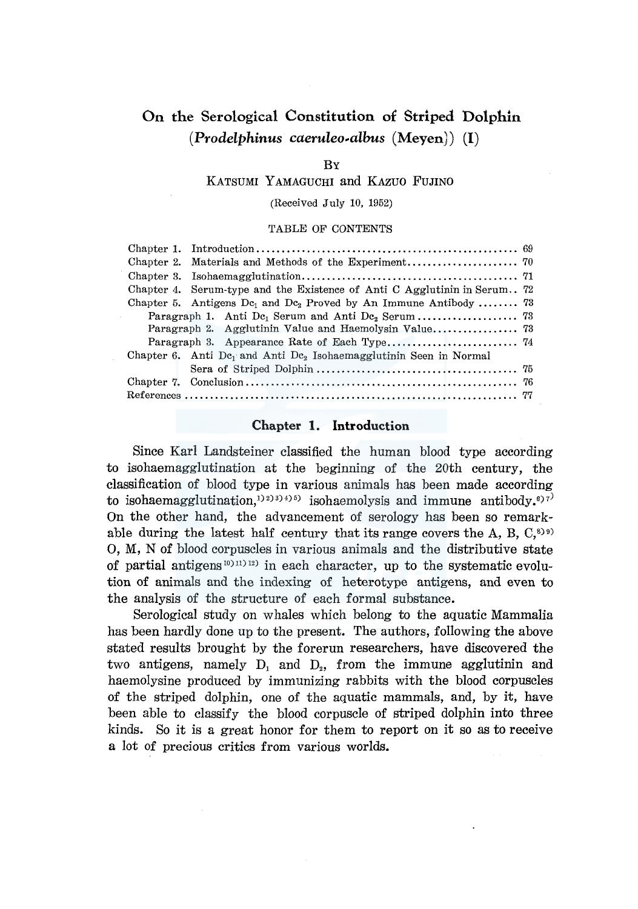# On the Serological Constitution of Striped Dolphin *(Prodelphinus caeruleo-albus* (Meyen)) (I)

#### **R<sub>Y</sub>**

KATSUMI YAMAGUCHI and KAZUO FUJINO

(Received July 10, 1952)

TABLE OF CONTENTS

| Chapter 4. Serum-type and the Existence of Anti C Agglutinin in Serum 72                  |  |
|-------------------------------------------------------------------------------------------|--|
| Chapter 5. Antigens $Dc_1$ and $Dc_2$ Proved by An Immune Antibody  73                    |  |
|                                                                                           |  |
|                                                                                           |  |
|                                                                                           |  |
| Chapter 6. Anti De <sub>1</sub> and Anti De <sub>2</sub> Isohaemagglutinin Seen in Normal |  |
|                                                                                           |  |
|                                                                                           |  |
|                                                                                           |  |

# Chapter 1. Introduction

Since Karl Landsteiner classified the human blood type according to isohaemagglutination at the beginning of the 20th century, the classification of blood type in various animals has been made according to isohaemagglutination,<sup>1)2)3)4)5</sup> isohaemolysis and immune antibody.<sup>6)7</sup> On the other hand, the advancement of serology has been so remarkable during the latest half century that its range covers the A, B,  $C^{(8)}$ 0, M, N of blood corpuscles in various animals and the distributive state of partial antigens<sup>10)11)12</sup> in each character, up to the systematic evolution of animals and the indexing of heterotype antigens, and even to the analysis of the structure of each formal substance.

Serological study on whales which belong to the aquatic Mammalia has been hardly done up to the present. The authors, following the above stated results brought by the forerun researchers, have discovered the two antigens, namely  $D_1$  and  $D_2$ , from the immune agglutinin and haemolysine produced by immunizing rabbits with the blood corpuscles of the striped dolphin, one of the aquatic mammals, and, by it, have been able to classify the blood corpuscle of striped dolphin into three kinds. So it is a great honor for them to report on it so as to receive a lot of precious critics from various worlds.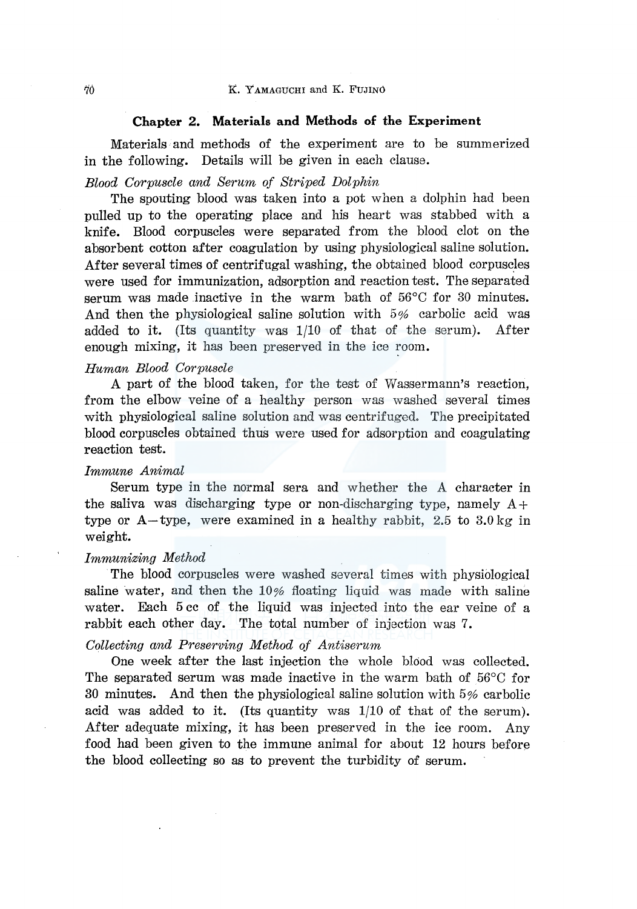#### **Chapter 2. Materials and Methods of** the **Experiment**

Materials and methods of the experiment are to be summerized in the following. Details will be given in each clause.

### *Blood Corpuscle and Serum of Striped Dolphin*

The spouting blood was taken into a pot when a dolphin had been pulled up to the operating place and his heart was stabbed with a knife. Blood corpuscles were separated from the blood clot on the absorbent cotton after coagulation by using physiological saline solution. After several times of centrifugal washing, the obtained blood corpuscles were used for immunization, adsorption and reaction test. The separated serum was made inactive in the warm bath of 56°C for 30 minutes. And then the physiological saline solution with 5% carbolic acid was added to it. (Its quantity was 1/10 of that of the serum). After enough mixing, it has been preserved in the ice room.

### *Human Blood Corpuscle*

A part of the blood taken, for the test of Wassermann's reaction, from the elbow veine of a healthy person was washed several times with physiological saline solution and was centrifuged. The precipitated blood corpuscles obtained thu8 were used for adsorption and coagulating reaction test.

#### *Immune Animal*

Serum type in the normal sera and whether the A character in the saliva was discharging type or non-discharging type, namely  $A+$ type or  $A$ -type, were examined in a healthy rabbit, 2.5 to 3.0 kg in weight.

#### *Immunizing Method*

The blood corpuscles were washed several times with physiblogical saline water, and then the 10% floating liquid was made with saline water. Each 5 cc of the liquid was injected into the ear veine of a rabbit each other day. The total number of injection was 7.

# *Collecting and Preserving Method of Antiserum*

One week after the last injection the whole blood was collected. The separated serum was made inactive in the warm bath of 56°C for 30 minutes. And then the physiological saline solution with 5% carbolic acid was added to it. (Its quantity was 1/10 of that of the serum). After adequate mixing, it has been preserved in the ice room. Any food had been given to the immune animal for about 12 hours before the blood collecting so as to prevent the turbidity of serum.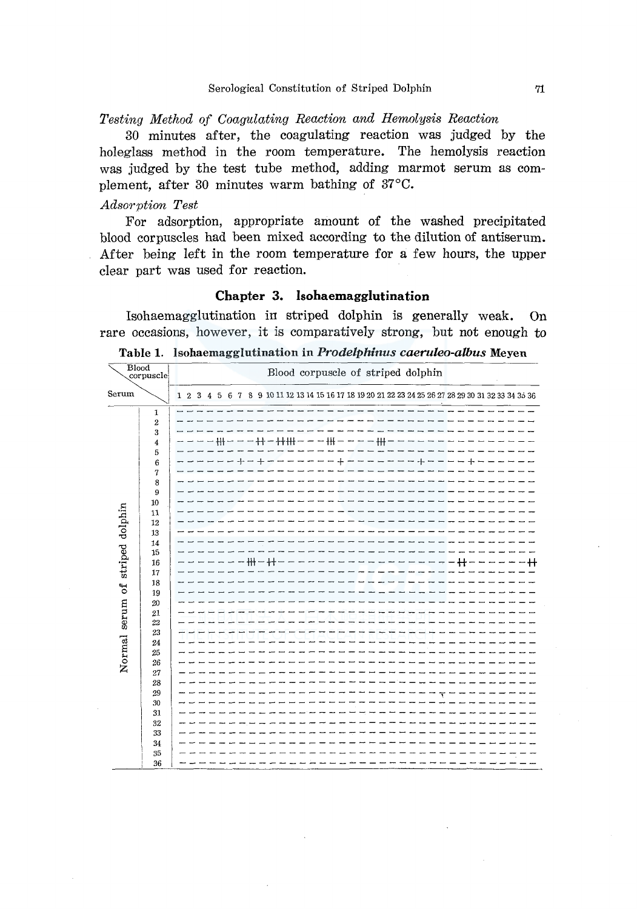*Testing Method of Coagulating Reaction and Hemolysis Reaction* 

30 minutes after, the coagulating reaction was judged by the holeglass method in the room temperature. The hemolysis reaction was judged by the test tube method, adding marmot serum as complement, after 30 minutes warm bathing of 37°C.

#### *Adsorption Test*

For adsorption, appropriate amount of the washed precipitated blood corpuscles had been mixed according to the dilution of antiserum. After being left in the room temperature for a few hours, the upper clear part was used for reaction.

# **Chapter 3. lsohaemagglutination**

Isohaemagglutination in striped dolphin is generally weak. On rare occasions, however, it is comparatively strong, but not enough to

Table **1.** lsohaemagglutination in *Prodelphinus caeruleo-albus* Meyen

|                                 | Blood<br>corpuscle                                                                                                                                                                                                                          | Blood corpuscle of striped dolphin                                                                                                    |
|---------------------------------|---------------------------------------------------------------------------------------------------------------------------------------------------------------------------------------------------------------------------------------------|---------------------------------------------------------------------------------------------------------------------------------------|
| Serum                           |                                                                                                                                                                                                                                             | 4 5 6 7 8 9 10 11 12 13 14 15 16 17 18 19 20 21 22 23 24 25 26 27 28 29 30 31 32 33 34 35 36<br>3 <sub>1</sub><br>1 <sub>2</sub>      |
| Normal serum of striped dolphin | $\mathbf 1$<br>$\overline{2}$<br>3<br>4<br>5<br>6<br>$\boldsymbol{7}$<br>8<br>9<br>10<br>11<br>12<br>13<br>14<br>15<br>16<br>17<br>18<br>19<br>20<br>21<br>22<br>23<br>24<br>25<br>26<br>27<br>28<br>29<br>30<br>31<br>32<br>33<br>34<br>35 | $- + + + - - + + - + + + + - - - + + + - - - + + + - -$<br>------------<br>$+ - + - - -$<br>╴╾╾╒╫╫═╫┽═╒╒╒╒╒╒╒╒╒╒╒╒╒╒╒╒╒╒╒╤═╋╋═┺╒┶┷╘╁╂ |
|                                 | 36                                                                                                                                                                                                                                          |                                                                                                                                       |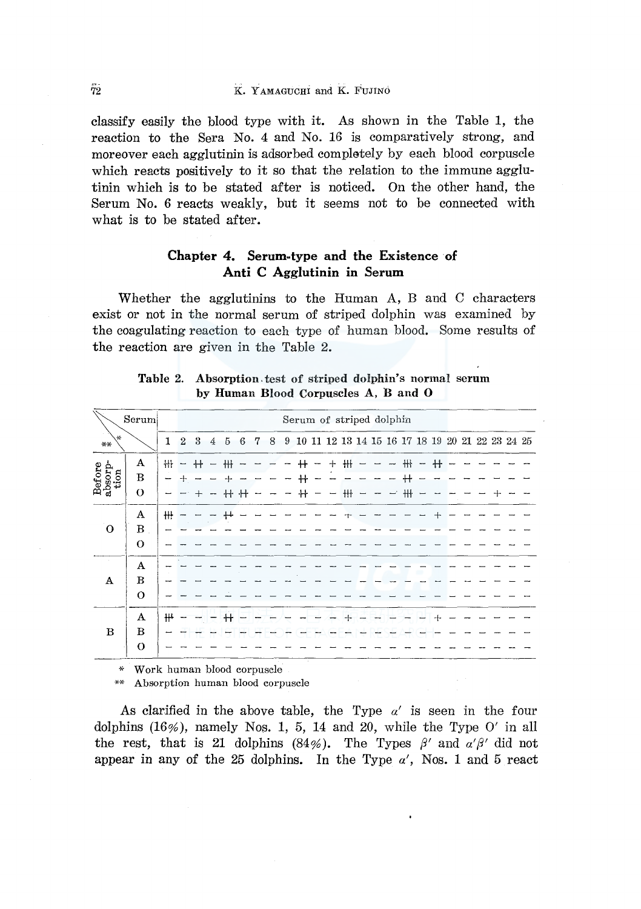# $\widetilde{7}2$  K. YAMAGUCHI and K. FUJINO

classify easily the blood type with it. As shown in the Table 1, the reaction to the Sera No. 4 and No. 16 is comparatively strong, and moreover each agglutinin is adsorbed completely by each blood corpuscle which reacts positively to it so that the relation to the immune agglutinin which is to be stated after is noticed. On the other hand, the Serum No. 6 reacts weakly, but it seems not to be connected with what is to be stated after.

# Chapter 4. Serum-type and the Existence of Anti C Agglutinin in Serum

Whether the agglutinins to the Human A, B and C characters exist or not in the normal serum of striped dolphin was examined by the coagulating reaction to each type of human blood. Some results of the reaction are given in the Table 2.

|                           | Serum        |                |                          |      |   |            |                 |   |   |   |            |        | Serum of striped dolphin                                                        |  |   |  |  |  |  |
|---------------------------|--------------|----------------|--------------------------|------|---|------------|-----------------|---|---|---|------------|--------|---------------------------------------------------------------------------------|--|---|--|--|--|--|
| ×.<br>$***$               |              | $\mathbf{1}$   | $\mathbf{2}$             | 3    | 4 | 5          | $6\phantom{.}6$ | 7 | 8 | 9 |            |        | $10 \ 11 \ 12 \ 13 \ 14 \ 15 \ 16 \ 17 \ 18 \ 19 \ 20 \ 21 \ 22 \ 23 \ 24 \ 25$ |  |   |  |  |  |  |
|                           | A            | H <sub>1</sub> | $\overline{\phantom{a}}$ | $^+$ |   | ₩          |                 |   |   |   |            | $\div$ | #                                                                               |  | ₩ |  |  |  |  |
| Before<br>absorp-<br>tion | B            |                |                          |      |   |            |                 |   |   |   | $^{\rm +}$ |        |                                                                                 |  |   |  |  |  |  |
|                           | $\theta$     |                |                          |      |   | ₩          |                 |   |   |   | $^+$       |        | $+$                                                                             |  | ₩ |  |  |  |  |
|                           | A            | ₩              |                          |      |   |            |                 |   |   |   |            |        |                                                                                 |  |   |  |  |  |  |
| $\mathbf{O}$              | B            |                |                          |      |   |            |                 |   |   |   |            |        |                                                                                 |  |   |  |  |  |  |
|                           | $\Omega$     |                |                          |      |   |            |                 |   |   |   |            |        |                                                                                 |  |   |  |  |  |  |
| T,                        | A            |                |                          |      |   |            |                 |   |   |   |            |        |                                                                                 |  |   |  |  |  |  |
| $\bf A$                   | $\bf{B}$     |                |                          |      |   |            |                 |   |   |   |            |        |                                                                                 |  |   |  |  |  |  |
|                           | $\Omega$     |                |                          |      |   |            |                 |   |   |   |            |        |                                                                                 |  |   |  |  |  |  |
|                           | A            | ₩              |                          |      |   | $^{\rm +}$ |                 |   |   |   |            |        |                                                                                 |  |   |  |  |  |  |
| $\bf{B}$                  | B            |                |                          |      |   |            |                 |   |   |   |            |        |                                                                                 |  |   |  |  |  |  |
|                           | $\mathbf{o}$ |                |                          |      |   |            |                 |   |   |   |            |        |                                                                                 |  |   |  |  |  |  |

Table 2. Absorption. test of striped dolphin's normal serum by Human Blood Corpuscles A, B and 0

\* Work human blood corpuscle

\*\* Absorption human blood corpuscle

As clarified in the above table, the Type *a'* is seen in the four dolphins  $(16\%)$ , namely Nos. 1, 5, 14 and 20, while the Type O' in all the rest, that is 21 dolphins (84%). The Types  $\beta'$  and  $\alpha'\beta'$  did not appear in any of the 25 dolphins. In the Type  $\alpha'$ , Nos. 1 and 5 react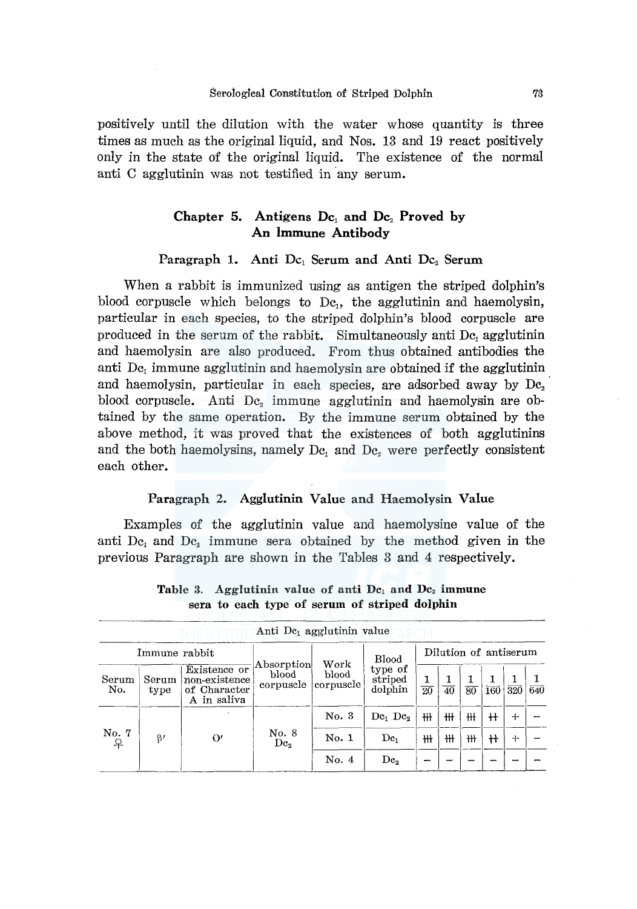positively until the dilution with the water whose quantity is three times as much as the original liquid, and Nos. 13 and 19 react positively only in the state of the original liquid. The existence of the normal anti C agglutinin was not testified in any serum.

# Chapter 5. Antigens  $Dc_1$  and  $Dc_2$  Proved by An Immune Antibody

## Paragraph 1. Anti  $Dc_1$  Serum and Anti  $Dc_2$  Serum

When a rabbit is immunized using as antigen the striped dolphin's blood corpuscle which belongs to  $\rm{De}$ , the agglutinin and haemolysin, particular in each species, to the striped dolphin's blood corpuscle are produced in the serum of the rabbit. Simultaneously anti Dc, agglutinin and haemolysin are also produced. From thus obtained antibodies the anti  $D_{c_1}$  immune agglutinin and haemolysin are obtained if the agglutinin and haemolysin, particular in each species, are adsorbed away by  $Dc<sub>2</sub>$ blood corpuscle. Anti  $Dc_2$  immune agglutinin and haemolysin are obtained by the same operation. By the immune serum obtained by the above method, it was proved that the existences of both agglutinins and the both haemolysins, namely  $Dc_1$  and  $Dc_2$  were perfectly consistent each other.

### Paragraph 2. Agglutinin Value and Haemolysin Value

Examples of the agglutinin value and haemolysine value of the anti Dc<sub>1</sub> and Dc<sub>2</sub> immune sera obtained by the method given in the previous Paragraph are shown in the Tables 3 and 4 respectively.

|              |               |                                                              | Anti $Dc_1$ agglutinin value     |                            |                               |                 |                 |                 |                       |     |     |
|--------------|---------------|--------------------------------------------------------------|----------------------------------|----------------------------|-------------------------------|-----------------|-----------------|-----------------|-----------------------|-----|-----|
|              | Immune rabbit |                                                              |                                  |                            | Blood                         |                 |                 |                 | Dilution of antiserum |     |     |
| Serum<br>No. | Serum<br>type | Existence or<br>non-existence<br>of Character<br>A in saliva | Absorption<br>blood<br>corpuscle | Work<br>blood<br>corpuscle | type of<br>striped<br>dolphin | $\overline{20}$ | $\overline{40}$ | $\overline{80}$ | <b>160</b>            | 320 | 640 |
|              |               |                                                              |                                  | No. 3                      | $\mathrm{Dc}_1 \mathrm{Dc}_2$ | ₩               | ₩               | ₩               | $^{\rm +}$            | ┿   |     |
| No. 7        | $\beta'$      | $\Omega'$                                                    | No. 8<br>$\mathrm{Dc}_2$         | No. 1                      | De <sub>1</sub>               | ₩               | ₩               | ₩               | ╫                     | $+$ |     |
|              |               |                                                              |                                  | No. 4                      | $\mathrm{Dc}_2$               |                 |                 |                 |                       |     |     |

Table 3. Agglutinin value of anti  $Dc_1$  and  $Dc_2$  immune sera to each type of serum of striped dolphin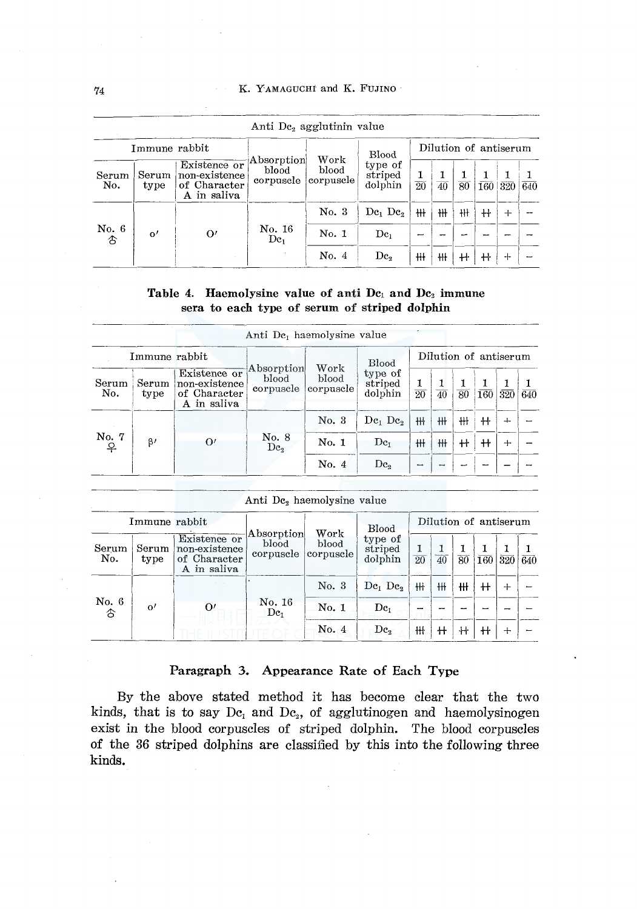#### K. YAMAGUCHI and K. FUJINO

|                   |               |                                                              | Anti De, agglutinin value        |                            |                                     |                      |                 |                 |                       |     |                  |
|-------------------|---------------|--------------------------------------------------------------|----------------------------------|----------------------------|-------------------------------------|----------------------|-----------------|-----------------|-----------------------|-----|------------------|
|                   | Immune rabbit |                                                              |                                  |                            | Blood                               |                      |                 |                 | Dilution of antiserum |     |                  |
| Serum<br>No.      | Serum<br>type | Existence or<br>non-existence<br>of Character<br>A in saliva | Absorption<br>blood<br>corpuscle | Work<br>blood<br>corpuscle | type of<br>striped<br>dolphin       | 1<br>$\overline{20}$ | $\overline{40}$ | $\overline{80}$ | 160                   | 320 | $\overline{640}$ |
|                   |               |                                                              |                                  | No. 3                      | $\mathrm{De}_{1}$ $\mathrm{De}_{2}$ | $H+$                 | ₩               | ₩               | ╫                     | ᆠ   |                  |
| No. 6<br><b>t</b> | $^{\rm o'}$   | $\Omega'$                                                    | No. 16<br>De <sub>1</sub>        | No. 1                      | $\mathrm{Dc}_1$                     | -                    |                 |                 |                       |     |                  |
|                   |               |                                                              |                                  | No. $4$                    | $\mathrm{Dc}_2$                     | ₩                    | ₩               | ╫               | $^{\rm +}$            | ┿   |                  |

# Table 4. Haemolysine value of anti Dc1 and Dc2 immune sera to each type of serum of striped dolphin

 $\ddot{\phantom{0}}$ 

|                                    |               |                                                              | Anti De <sub>i</sub> haemolysine value |                            |                                 |                 |                 |                 |                       |                |                  |
|------------------------------------|---------------|--------------------------------------------------------------|----------------------------------------|----------------------------|---------------------------------|-----------------|-----------------|-----------------|-----------------------|----------------|------------------|
|                                    | Immune rabbit |                                                              |                                        |                            | <b>Blood</b>                    |                 |                 |                 | Dilution of antiserum |                |                  |
| Serum<br>No.                       | Serum<br>type | Existence or<br>non-existence<br>of Character<br>A in saliva | Absorption<br>blood<br>corpuscle       | Work<br>blood<br>corpuscle | type of<br>striped<br>dolphin   | $\overline{20}$ | $\overline{40}$ | $\overline{80}$ | 160                   | 320            | $\overline{640}$ |
|                                    |               |                                                              |                                        | No. 3                      | $\mathrm{Dc}_1$ $\mathrm{Dc}_2$ | ₩               | ╫               | ₩               | ╫                     | $\overline{a}$ |                  |
| No. 7 $\underset{\text{P}}{\circ}$ | $\beta'$      | $\Omega'$                                                    | No. 8<br>$\mathrm{Dc}_2$               | No. 1                      | De <sub>1</sub>                 | ₩               | ₩               | $^{\rm +}$      | $^{\rm +}$            | $+$            |                  |
|                                    |               |                                                              |                                        | No. 4                      | De <sub>2</sub>                 | ٠               |                 |                 |                       |                |                  |

|               |                           | Anti De, haemolysine value |      |         |                       |
|---------------|---------------------------|----------------------------|------|---------|-----------------------|
| Immune rabbit |                           |                            |      | Blood   | Dilution of antiserum |
|               | Existence or $\mathbb{F}$ | Absorption                 | Work | type of |                       |

| Serum<br>No.     | Serum<br>type | Existence or<br>non-existence<br>of Character<br>A in saliva | Absorption<br>blood<br>corpuscle | Work<br>blood<br> corpuscle | <b>Blood</b><br>type of<br>striped<br>dolphin | 20 | 40 | $\overline{80}$ | 160          | $320\,$ 640 |  |
|------------------|---------------|--------------------------------------------------------------|----------------------------------|-----------------------------|-----------------------------------------------|----|----|-----------------|--------------|-------------|--|
|                  |               |                                                              |                                  | No. 3                       | $De1$ $De2$                                   | ₩  | ₩  | ₩               | ╫            | $+$         |  |
| No. 6 $\uparrow$ | $\alpha'$     | O                                                            | No. 16<br>$\mathrm{Dc}_1$        | No.1                        | $\mathrm{Dc}_1$                               |    |    |                 |              |             |  |
|                  |               |                                                              |                                  | No. 4                       | De,                                           | ₩  | ╫  | ₩               | $\mathsf{H}$ | $+$         |  |

### Paragraph 3. Appearance Rate of Each Type

By the above stated method it has become clear that the two kinds, that is to say  $Dc_1$  and  $Dc_2$ , of agglutinogen and haemolysinogen exist in the blood corpuscles of striped dolphin. The blood corpuscles of the 36 striped dolphins are classified by this into the following three kinds.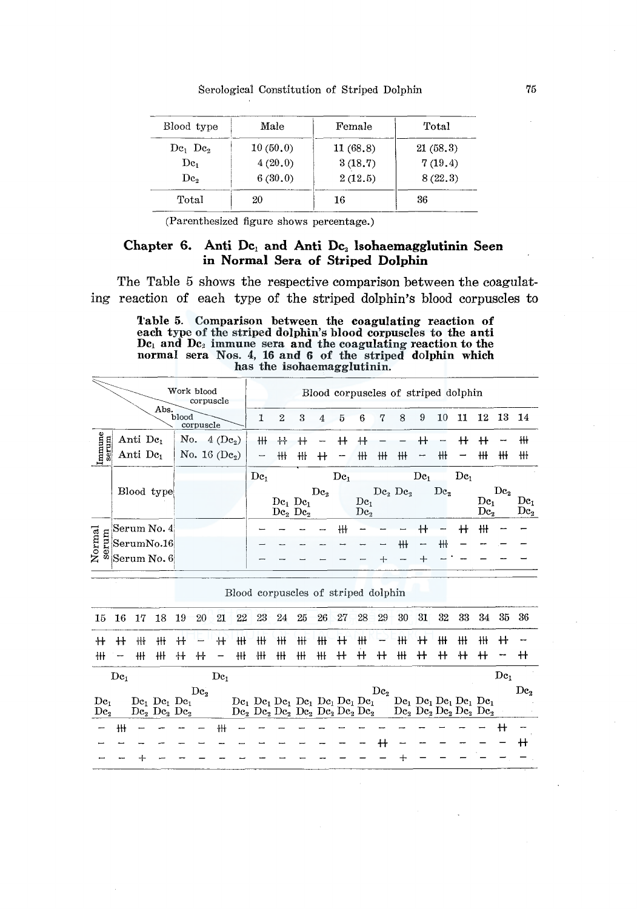### Serological Constitution of Striped Dolphin

| Blood type                      | Male     | Female   | Total    |
|---------------------------------|----------|----------|----------|
| $\mathrm{Dc}_1$ $\mathrm{Dc}_2$ | 10(50,0) | 11(68,8) | 21(58.3) |
| $\mathrm{Dc}_{1}$               | 4(20.0)  | 3(18.7)  | 7(19.4)  |
| $\mathrm{De}_2$                 | 6(30,0)  | 2(12.5)  | 8(22,3)  |
| Total                           | 20       | 16       | 36       |

(Parenthesized figure shows percentage.)

# Chapter 6. Anti Dc<sub>1</sub> and Anti Dc<sub>2</sub> Isohaemagglutinin Seen in Normal Sera of Striped Dolphin

The Table 5 shows the respective comparison between the coagulating reaction of each type of the striped dolphin's blood corpuscles to

> Table 5. Comparison between the coagulating reaction of each type of the striped dolphin's blood corpuscles to the anti  $\mathbf{Dc}_1$  and  $\mathbf{Dc}_2$  immune sera and the coagulating reaction to the normal sera Nos. 4, 16 and 6 of the striped dolphin which has the isohaemagglutinin.

|                 | Abs.                 | Work blood<br>corpuscle       |                          |              |                                                |                 |                 |                                    |   |                                 |                          |                 | Blood corpuscles of striped dolphin |                        |                 |                                    |
|-----------------|----------------------|-------------------------------|--------------------------|--------------|------------------------------------------------|-----------------|-----------------|------------------------------------|---|---------------------------------|--------------------------|-----------------|-------------------------------------|------------------------|-----------------|------------------------------------|
|                 |                      | blood<br>corpuscle            | 1                        | $\mathbf{2}$ | 3                                              | 4               | 5               | 6                                  | 7 | 8                               | 9                        | 10              | 11                                  | 12                     | -13             | -14                                |
|                 | Anti De <sub>1</sub> | No.<br>$4$ (De <sub>2</sub> ) | ₩                        | ╇╋           |                                                |                 |                 |                                    |   |                                 |                          |                 |                                     |                        |                 | ₩                                  |
| Immune<br>serum | Anti De <sub>1</sub> | No. 16 $(De_2)$               | $\overline{\phantom{a}}$ | ₩            | ₩ł                                             | ╫               | -               | ╫                                  | ₩ | ₩                               | $\overline{\phantom{a}}$ | ╫               |                                     | ╫                      | ₩               | ₩                                  |
|                 |                      |                               | De <sub>1</sub>          |              |                                                |                 | $\mathrm{Dc}_1$ |                                    |   |                                 | De <sub>1</sub>          |                 | $\mathrm{Dc}_1$                     |                        |                 |                                    |
|                 | Blood type           |                               |                          |              | $De1$ $De1$<br>$\mathrm{De}_2$ $\mathrm{De}_2$ | $\mathrm{Dc}_2$ |                 | De <sub>t</sub><br>$\mathrm{Dc}_2$ |   | $\mathrm{Dc}_2$ $\mathrm{Dc}_3$ |                          | $\mathrm{Dc}_2$ |                                     | De-<br>$\mathrm{Dc}_2$ | $\mathrm{Dc}_2$ | $\mathrm{Dc}_1$<br>$\mathrm{De}_2$ |
|                 | Serum No. 4          |                               |                          |              |                                                |                 | ₩ł              |                                    |   |                                 |                          |                 | ╫                                   | ₩                      |                 |                                    |
| Normal<br>serum | SerumNo.16           |                               |                          |              |                                                |                 |                 |                                    |   | ╫                               |                          | ₩               |                                     |                        |                 |                                    |
|                 | Serum No. 6          |                               |                          |              |                                                |                 |                 |                                    |   |                                 |                          |                 |                                     |                        |                 |                                    |

| 15 16           |                          | -17         | -18                                                                                                | - 19 | 20              | 21 <sup>7</sup>          | 22 | 23 | 24 | 25                                                                                                                                                         | 26 | 27         | 28 | 29              | 30   | 31   | 32   | 33 | 34                                                                                                                    | 35 36           |                 |
|-----------------|--------------------------|-------------|----------------------------------------------------------------------------------------------------|------|-----------------|--------------------------|----|----|----|------------------------------------------------------------------------------------------------------------------------------------------------------------|----|------------|----|-----------------|------|------|------|----|-----------------------------------------------------------------------------------------------------------------------|-----------------|-----------------|
| $^+$            | $^+$                     | $^{\rm 4+}$ | ٠H                                                                                                 | ╫    |                 | ╫                        | ₩  | ₩  | ₩  | ₩                                                                                                                                                          | ₩  | $^{\rm +}$ | ₩  | -               | ₩    | $^+$ | ₩    | ₩  | ₩                                                                                                                     | ╫               |                 |
| ₩               | $\overline{\phantom{a}}$ | ₩           | ₩Ł                                                                                                 | $+$  | ╫               | $\overline{\phantom{m}}$ | #  | 卄  | ₩  | ₩                                                                                                                                                          | ₩  | $+$        | ₩  | $+$             | $H+$ | $+$  | $^+$ | ₩  | $^{\rm +}$                                                                                                            |                 |                 |
|                 | $\mathbf{D}\mathbf{c}_1$ |             |                                                                                                    |      |                 | De <sub>1</sub>          |    |    |    |                                                                                                                                                            |    |            |    |                 |      |      |      |    |                                                                                                                       | $\mathrm{Dc}_1$ |                 |
|                 |                          |             |                                                                                                    |      |                 |                          |    |    |    |                                                                                                                                                            |    |            |    |                 |      |      |      |    |                                                                                                                       |                 |                 |
|                 |                          |             |                                                                                                    |      |                 |                          |    |    |    |                                                                                                                                                            |    |            |    |                 |      |      |      |    |                                                                                                                       |                 |                 |
| $\mathrm{Dc}_1$ |                          |             |                                                                                                    |      | $\mathrm{Dc}_2$ |                          |    |    |    |                                                                                                                                                            |    |            |    | $\mathrm{Dc}_2$ |      |      |      |    |                                                                                                                       |                 | $\mathrm{De}_2$ |
| $\mathrm{Dc}_2$ |                          |             | $\mathrm{Dc}_1$ $\mathrm{Dc}_1$ $\mathrm{Dc}_1$<br>$\mathrm{De}_2 \,\mathrm{De}_2 \,\mathrm{De}_2$ |      |                 |                          |    |    |    | $De_1$ $De_1$ $De_1$ $De_1$ $De_1$ $De_1$ $De_1$ $De_1$<br>$\mathrm{Dc}_2$ $\mathrm{Dc}_2$ $\mathrm{Dc}_2$ $\mathrm{Dc}_2$ $\mathrm{Dc}_2$ $\mathrm{Dc}_2$ |    |            |    |                 |      |      |      |    | $De_1$ $De_1$ $De_1$ $De_1$ $De_1$<br>$\mathrm{Dc}_2$ $\mathrm{Dc}_2$ $\mathrm{Dc}_2$ $\mathrm{Dc}_2$ $\mathrm{Dc}_3$ |                 |                 |
|                 | ₩                        |             |                                                                                                    |      |                 |                          |    |    |    |                                                                                                                                                            |    |            |    |                 |      |      |      |    |                                                                                                                       |                 |                 |
|                 |                          |             |                                                                                                    |      |                 |                          |    |    |    |                                                                                                                                                            |    |            |    |                 |      |      |      |    |                                                                                                                       |                 |                 |
|                 |                          |             |                                                                                                    |      |                 |                          |    |    |    |                                                                                                                                                            |    |            |    |                 |      |      |      |    |                                                                                                                       |                 |                 |

Blood corpuscles of striped dolphin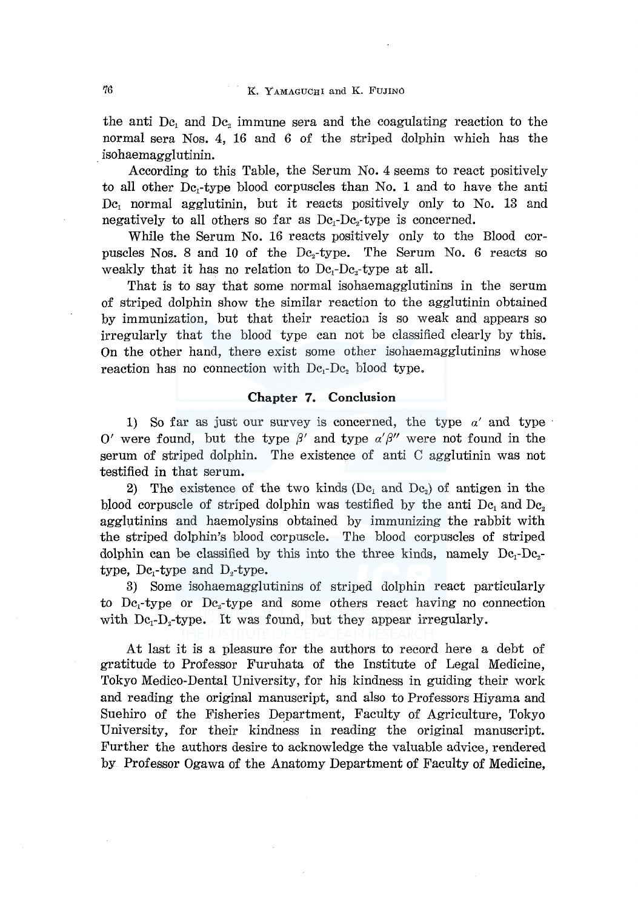the anti  $Dc_1$  and  $Dc_2$  immune sera and the coagulating reaction to the normal sera Nos. 4, 16 and 6 of the striped dolphin which has the . isohaemagglutinin.

According to this Table, the Serum No. 4 seems to react positively to all other  $De<sub>1</sub>-type$  blood corpuscles than No. 1 and to have the anti Dc<sub>1</sub> normal agglutinin, but it reacts positively only to No. 13 and negatively to all others so far as  $De_i-De_i$ -type is concerned.

While the Serum No. 16 reacts positively only to the Blood corpuscles Nos. 8 and 10 of the  $Dc_2$ -type. The Serum No. 6 reacts so weakly that it has no relation to  $De_i-De_i$ -type at all.

That is to say that some normal isohaemagglutinins in the serum of striped dolphin show the similar reaction to the agglutinin obtained by immunization, but that their reaction. is so weak and appears so irregularly that the blood type can not be classified clearly by this. On the other hand, there exist some other isohaemagglutinins whose reaction has no connection with  $De<sub>i</sub>-De<sub>2</sub>$  blood type.

#### **Chapter 7. Conclusion**

1) So far as just our survey is concerned, the type  $a'$  and type O' were found, but the type  $\beta'$  and type  $\alpha'\beta''$  were not found in the serum of striped dolphin. The existence of anti C agglutinin was not testified in that serum.

2) The existence of the two kinds  $(De<sub>1</sub>$  and  $De<sub>2</sub>)$  of antigen in the blood corpuscle of striped dolphin was testified by the anti  $Dc_1$  and  $Dc_2$ agglutinins and haemolysins obtained by immunizing the rabbit with the striped dolphin's blood corpuscle. The blood corpuscles of striped dolphin can be classified by this into the three kinds, namely  $Dc_1-Dc_2$ type,  $Dc_1$ -type and  $D_2$ -type.

3) Some isohaemagglutinins of striped dolphin react particularly to  $Dc_1$ -type or  $Dc_2$ -type and some others react having no connection with  $Dc_1-D_2$ -type. It was found, but they appear irregularly.

At last it is a pleasure for the authors to record here a debt of gratitude to Professor Furuhata of the Institute of Legal Medicine, Tokyo Medico-Dental University, for his kindness in guiding their work and reading the original manuscript, and also to Professors Hiyama and Suehiro of the Fisheries Department, Faculty of Agriculture, Tokyo University, for their kindness in reading the original manuscript. Further the authors desire to acknowledge the valuable advice, rendered by Professor Ogawa of the Anatomy Department of Faculty of Medicine,